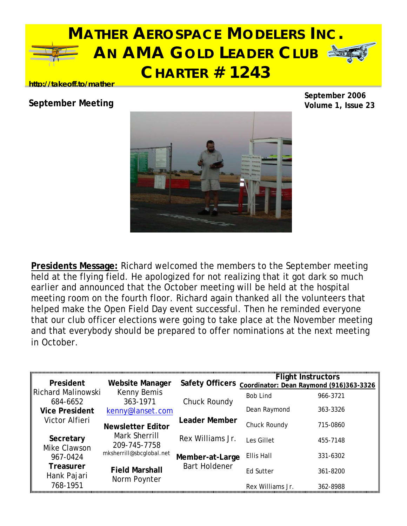

### **http://takeoff.to/mather**

### **September Meeting**

**September 2006 Volume 1, Issue 23**



**Presidents Message:** Richard welcomed the members to the September meeting held at the flying field. He apologized for not realizing that it got dark so much earlier and announced that the October meeting will be held at the hospital meeting room on the fourth floor. Richard again thanked all the volunteers that helped make the Open Field Day event successful. Then he reminded everyone that our club officer elections were going to take place at the November meeting and that everybody should be prepared to offer nominations at the next meeting in October.

| President                       | <b>Website Manager</b>                | <b>Safety Officers</b> |                 | <b>Flight Instructors</b><br>Coordinator: Dean Raymond (916)363-3326 |
|---------------------------------|---------------------------------------|------------------------|-----------------|----------------------------------------------------------------------|
| Richard Malinowski<br>684-6652  | Kenny Bemis<br>363-1971               | Chuck Roundy           | <b>Bob Lind</b> | 966-3721                                                             |
| <b>Vice President</b>           | kenny@lanset.com                      |                        | Dean Raymond    | 363-3326                                                             |
| Victor Alfieri                  | <b>Newsletter Editor</b>              | <b>Leader Member</b>   | Chuck Roundy    | 715-0860                                                             |
| Secretary<br>Mike Clawson       | Mark Sherrill<br>209-745-7758         | Rex Williams Jr.       | Les Gillet      | 455-7148                                                             |
| 967-0424                        | mksherrill@sbcglobal.net              | Member-at-Large        | Ellis Hall      | 331-6302                                                             |
| <b>Treasurer</b><br>Hank Pajari | <b>Field Marshall</b><br>Norm Poynter | <b>Bart Holdener</b>   | Ed Sutter       | 361-8200                                                             |
| 768-1951                        |                                       |                        | Rex Williams Jr | 362-8988                                                             |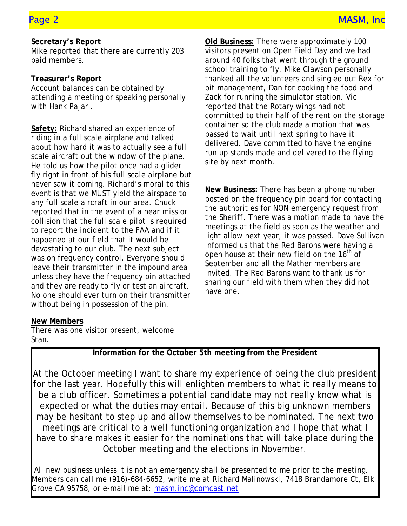### **Secretary's Report**

Mike reported that there are currently 203 paid members.

### **Treasurer's Report**

Account balances can be obtained by attending a meeting or speaking personally with Hank Pajari.

about not haven that to abitain, soo a ran-**Safety:** Richard shared an experience of riding in a full scale airplane and talked about how hard it was to actually see a full He told us how the pilot once had a glider fly right in front of his full scale airplane but never saw it coming. Richard's moral to this event is that we MUST yield the airspace to any full scale aircraft in our area. Chuck reported that in the event of a near miss or collision that the full scale pilot is required to report the incident to the FAA and if it happened at our field that it would be devastating to our club. The next subject was on frequency control. Everyone should leave their transmitter in the impound area unless they have the frequency pin attached and they are ready to fly or test an aircraft. No one should ever turn on their transmitter without being in possession of the pin.

 **Old Business:** There were approximately 100 visitors present on Open Field Day and we had around 40 folks that went through the ground school training to fly. Mike Clawson personally thanked all the volunteers and singled out Rex for pit management, Dan for cooking the food and Zack for running the simulator station. Vic reported that the Rotary wings had not committed to their half of the rent on the storage container so the club made a motion that was passed to wait until next spring to have it delivered. Dave committed to have the engine run up stands made and delivered to the flying site by next month.

**New Business:** There has been a phone number posted on the frequency pin board for contacting the authorities for NON emergency request from the Sheriff. There was a motion made to have the meetings at the field as soon as the weather and light allow next year, it was passed. Dave Sullivan informed us that the Red Barons were having a open house at their new field on the 16<sup>th</sup> of September and all the Mather members are invited. The Red Barons want to thank us for sharing our field with them when they did not have one.

### **New Members**

There was one visitor present, welcome Stan.

### **Information for the October 5th meeting from the President**

At the October meeting I want to share my experience of being the club president for the last year. Hopefully this will enlighten members to what it really means to be a club officer. Sometimes a potential candidate may not really know what is expected or what the duties may entail. Because of this big unknown members may be hesitant to step up and allow themselves to be nominated. The next two meetings are critical to a well functioning organization and I hope that what I have to share makes it easier for the nominations that will take place during the October meeting and the elections in November.

 All new business unless it is not an emergency shall be presented to me prior to the meeting. Members can call me (916)-684-6652, write me at Richard Malinowski, 7418 Brandamore Ct, Elk Grove CA 95758, or e-mail me at: masm.inc@comcast.net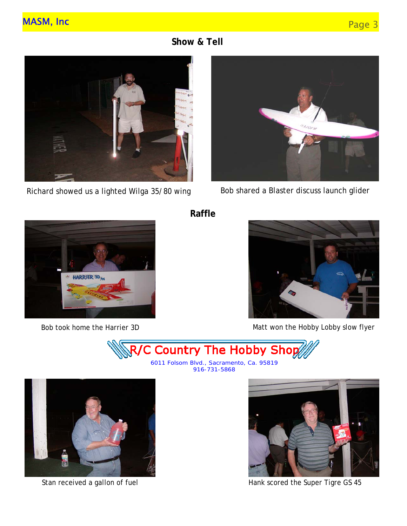**Show & Tell** 



Richard showed us a lighted Wilga 35/80 wing



Bob shared a Blaster discuss launch glider



 **Raffle** 



Bob took home the Harrier 3D Matt won the Hobby Lobby slow flyer



6011 Folsom Blvd., Sacramento, Ca. 95819 916-731-5868



Stan received a gallon of fuel



Hank scored the Super Tigre GS 45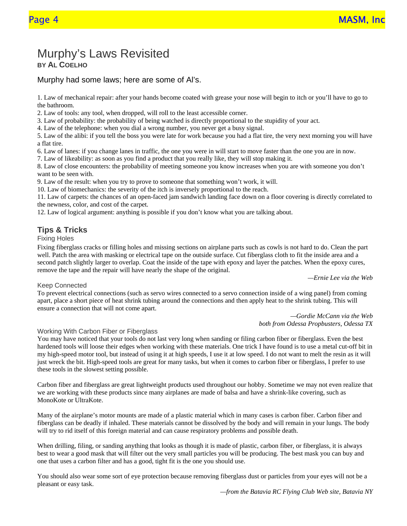## Murphy's Laws Revisited **BY AL COELHO**

Murphy had some laws; here are some of Al's.

1. Law of mechanical repair: after your hands become coated with grease your nose will begin to itch or you'll have to go to the bathroom.

2. Law of tools: any tool, when dropped, will roll to the least accessible corner.

3. Law of probability: the probability of being watched is directly proportional to the stupidity of your act.

4. Law of the telephone: when you dial a wrong number, you never get a busy signal.

5. Law of the alibi: if you tell the boss you were late for work because you had a flat tire, the very next morning you will have a flat tire.

6. Law of lanes: if you change lanes in traffic, the one you were in will start to move faster than the one you are in now.

7. Law of likeability: as soon as you find a product that you really like, they will stop making it.

8. Law of close encounters: the probability of meeting someone you know increases when you are with someone you don't want to be seen with.

9. Law of the result: when you try to prove to someone that something won't work, it will.

10. Law of biomechanics: the severity of the itch is inversely proportional to the reach.

11. Law of carpets: the chances of an open-faced jam sandwich landing face down on a floor covering is directly correlated to the newness, color, and cost of the carpet.

12. Law of logical argument: anything is possible if you don't know what you are talking about.

#### **Tips & Tricks**

#### Fixing Holes

Fixing fiberglass cracks or filling holes and missing sections on airplane parts such as cowls is not hard to do. Clean the part well. Patch the area with masking or electrical tape on the outside surface. Cut fiberglass cloth to fit the inside area and a second patch slightly larger to overlap. Coat the inside of the tape with epoxy and layer the patches. When the epoxy cures, remove the tape and the repair will have nearly the shape of the original.

*—Ernie Lee via the Web*

#### Keep Connected

To prevent electrical connections (such as servo wires connected to a servo connection inside of a wing panel) from coming apart, place a short piece of heat shrink tubing around the connections and then apply heat to the shrink tubing. This will ensure a connection that will not come apart.

*—Gordie McCann via the Web both from Odessa Propbusters, Odessa TX*

#### Working With Carbon Fiber or Fiberglass

You may have noticed that your tools do not last very long when sanding or filing carbon fiber or fiberglass. Even the best hardened tools will loose their edges when working with these materials. One trick I have found is to use a metal cut-off bit in my high-speed motor tool, but instead of using it at high speeds, I use it at low speed. I do not want to melt the resin as it will just wreck the bit. High-speed tools are great for many tasks, but when it comes to carbon fiber or fiberglass, I prefer to use these tools in the slowest setting possible.

Carbon fiber and fiberglass are great lightweight products used throughout our hobby. Sometime we may not even realize that we are working with these products since many airplanes are made of balsa and have a shrink-like covering, such as MonoKote or UltraKote.

Many of the airplane's motor mounts are made of a plastic material which in many cases is carbon fiber. Carbon fiber and fiberglass can be deadly if inhaled. These materials cannot be dissolved by the body and will remain in your lungs. The body will try to rid itself of this foreign material and can cause respiratory problems and possible death.

When drilling, filing, or sanding anything that looks as though it is made of plastic, carbon fiber, or fiberglass, it is always best to wear a good mask that will filter out the very small particles you will be producing. The best mask you can buy and one that uses a carbon filter and has a good, tight fit is the one you should use.

You should also wear some sort of eye protection because removing fiberglass dust or particles from your eyes will not be a pleasant or easy task.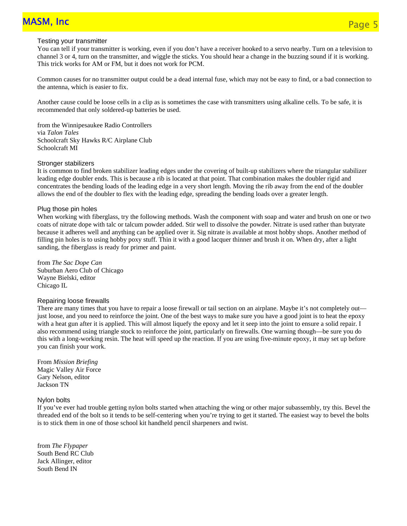# MASM, Inc Page 5 (Page 5 and Page 5 and Page 5 and Page 5 and Page 5 and Page 5 and Page 5

#### Testing your transmitter

You can tell if your transmitter is working, even if you don't have a receiver hooked to a servo nearby. Turn on a television to channel 3 or 4, turn on the transmitter, and wiggle the sticks. You should hear a change in the buzzing sound if it is working. This trick works for AM or FM, but it does not work for PCM.

Common causes for no transmitter output could be a dead internal fuse, which may not be easy to find, or a bad connection to the antenna, which is easier to fix.

Another cause could be loose cells in a clip as is sometimes the case with transmitters using alkaline cells. To be safe, it is recommended that only soldered-up batteries be used.

from the Winnipesaukee Radio Controllers via *Talon Tales* Schoolcraft Sky Hawks R/C Airplane Club Schoolcraft MI

#### Stronger stabilizers

It is common to find broken stabilizer leading edges under the covering of built-up stabilizers where the triangular stabilizer leading edge doubler ends. This is because a rib is located at that point. That combination makes the doubler rigid and concentrates the bending loads of the leading edge in a very short length. Moving the rib away from the end of the doubler allows the end of the doubler to flex with the leading edge, spreading the bending loads over a greater length.

#### Plug those pin holes

When working with fiberglass, try the following methods. Wash the component with soap and water and brush on one or two coats of nitrate dope with talc or talcum powder added. Stir well to dissolve the powder. Nitrate is used rather than butyrate because it adheres well and anything can be applied over it. Sig nitrate is available at most hobby shops. Another method of filling pin holes is to using hobby poxy stuff. Thin it with a good lacquer thinner and brush it on. When dry, after a light sanding, the fiberglass is ready for primer and paint.

from *The Sac Dope Can*  Suburban Aero Club of Chicago Wayne Bielski, editor Chicago IL

#### Repairing loose firewalls

There are many times that you have to repair a loose firewall or tail section on an airplane. Maybe it's not completely out just loose, and you need to reinforce the joint. One of the best ways to make sure you have a good joint is to heat the epoxy with a heat gun after it is applied. This will almost liquefy the epoxy and let it seep into the joint to ensure a solid repair. I also recommend using triangle stock to reinforce the joint, particularly on firewalls. One warning though—be sure you do this with a long-working resin. The heat will speed up the reaction. If you are using five-minute epoxy, it may set up before you can finish your work.

From *Mission Briefing* Magic Valley Air Force Gary Nelson, editor Jackson TN

#### Nylon bolts

If you've ever had trouble getting nylon bolts started when attaching the wing or other major subassembly, try this. Bevel the threaded end of the bolt so it tends to be self-centering when you're trying to get it started. The easiest way to bevel the bolts is to stick them in one of those school kit handheld pencil sharpeners and twist.

from *The Flypaper* South Bend RC Club Jack Allinger, editor South Bend IN